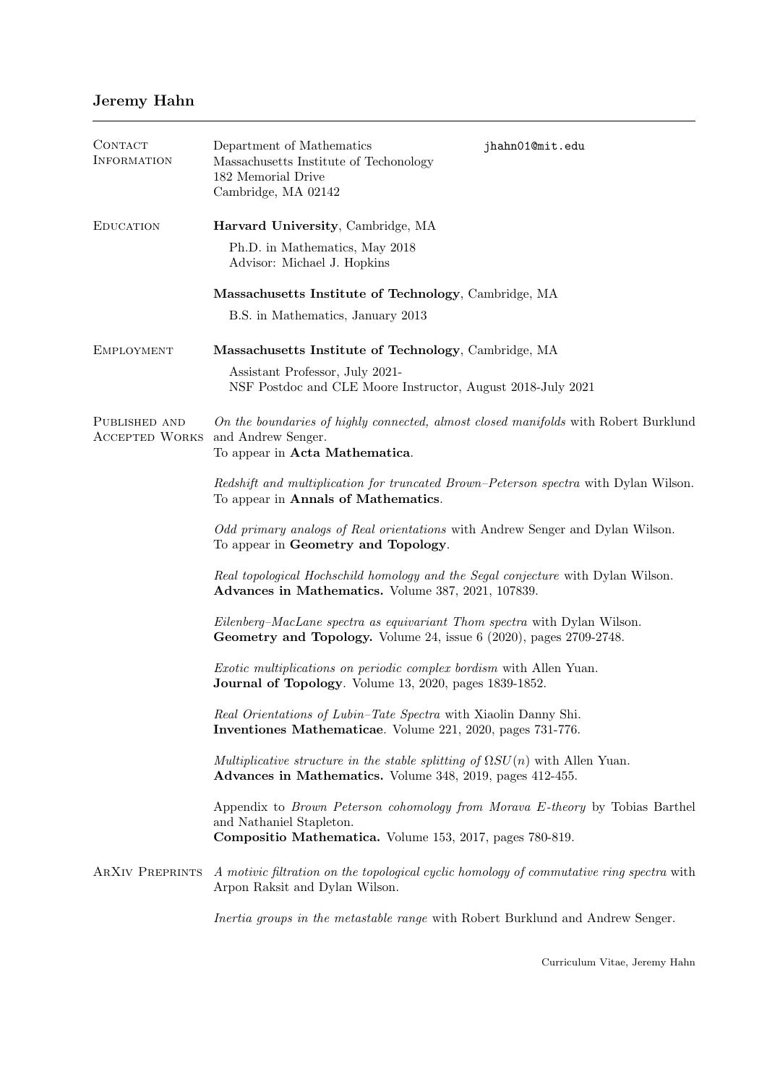## Jeremy Hahn

| CONTACT<br><b>INFORMATION</b>          | Department of Mathematics<br>Massachusetts Institute of Techonology<br>182 Memorial Drive<br>Cambridge, MA 02142                                                            | jhahn01@mit.edu |  |
|----------------------------------------|-----------------------------------------------------------------------------------------------------------------------------------------------------------------------------|-----------------|--|
| <b>EDUCATION</b>                       | Harvard University, Cambridge, MA                                                                                                                                           |                 |  |
|                                        | Ph.D. in Mathematics, May 2018<br>Advisor: Michael J. Hopkins                                                                                                               |                 |  |
|                                        | Massachusetts Institute of Technology, Cambridge, MA                                                                                                                        |                 |  |
|                                        | B.S. in Mathematics, January 2013                                                                                                                                           |                 |  |
| <b>EMPLOYMENT</b>                      | Massachusetts Institute of Technology, Cambridge, MA                                                                                                                        |                 |  |
|                                        | Assistant Professor, July 2021-<br>NSF Postdoc and CLE Moore Instructor, August 2018-July 2021                                                                              |                 |  |
| PUBLISHED AND<br><b>ACCEPTED WORKS</b> | On the boundaries of highly connected, almost closed manifolds with Robert Burklund<br>and Andrew Senger.<br>To appear in Acta Mathematica.                                 |                 |  |
|                                        | Redshift and multiplication for truncated Brown-Peterson spectra with Dylan Wilson.<br>To appear in Annals of Mathematics.                                                  |                 |  |
|                                        | Odd primary analogs of Real orientations with Andrew Senger and Dylan Wilson.<br>To appear in Geometry and Topology.                                                        |                 |  |
|                                        | Real topological Hochschild homology and the Segal conjecture with Dylan Wilson.<br>Advances in Mathematics. Volume 387, 2021, 107839.                                      |                 |  |
|                                        | Eilenberg-MacLane spectra as equivariant Thom spectra with Dylan Wilson.<br>Geometry and Topology. Volume 24, issue 6 (2020), pages 2709-2748.                              |                 |  |
|                                        | <i>Exotic multiplications on periodic complex bordism</i> with Allen Yuan.<br>Journal of Topology. Volume 13, 2020, pages 1839-1852.                                        |                 |  |
|                                        | Real Orientations of Lubin-Tate Spectra with Xiaolin Danny Shi.<br>Inventiones Mathematicae. Volume 221, 2020, pages 731-776.                                               |                 |  |
|                                        | Multiplicative structure in the stable splitting of $\Omega SU(n)$ with Allen Yuan.<br>Advances in Mathematics. Volume 348, 2019, pages 412-455.                            |                 |  |
|                                        | Appendix to <i>Brown Peterson cohomology from Morava E-theory</i> by Tobias Barthel<br>and Nathaniel Stapleton.<br>Compositio Mathematica. Volume 153, 2017, pages 780-819. |                 |  |
| <b>ARXIV PREPRINTS</b>                 | A motivic filtration on the topological cyclic homology of commutative ring spectra with<br>Arpon Raksit and Dylan Wilson.                                                  |                 |  |
|                                        | Inertia groups in the metastable range with Robert Burklund and Andrew Senger.                                                                                              |                 |  |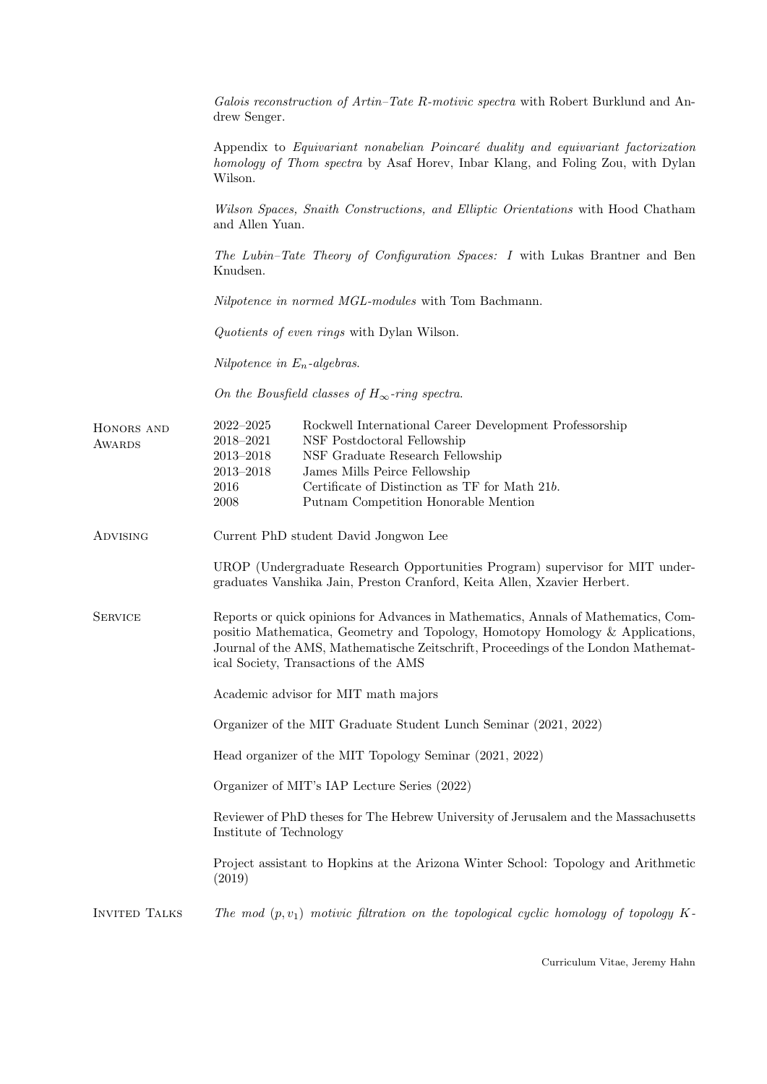|                      | Galois reconstruction of Artin–Tate R-motivic spectra with Robert Burklund and An-<br>drew Senger.                                                                                                                                                                                                                                |  |
|----------------------|-----------------------------------------------------------------------------------------------------------------------------------------------------------------------------------------------------------------------------------------------------------------------------------------------------------------------------------|--|
|                      | Appendix to Equivariant nonabelian Poincaré duality and equivariant factorization<br>homology of Thom spectra by Asaf Horev, Inbar Klang, and Foling Zou, with Dylan<br>Wilson.                                                                                                                                                   |  |
|                      | Wilson Spaces, Snaith Constructions, and Elliptic Orientations with Hood Chatham<br>and Allen Yuan.                                                                                                                                                                                                                               |  |
|                      | The Lubin-Tate Theory of Configuration Spaces: I with Lukas Brantner and Ben<br>Knudsen.                                                                                                                                                                                                                                          |  |
|                      | <i>Nilpotence in normed MGL-modules</i> with Tom Bachmann.                                                                                                                                                                                                                                                                        |  |
|                      | Quotients of even rings with Dylan Wilson.                                                                                                                                                                                                                                                                                        |  |
|                      | Nilpotence in $E_n$ -algebras.                                                                                                                                                                                                                                                                                                    |  |
|                      | On the Bousfield classes of $H_{\infty}$ -ring spectra.                                                                                                                                                                                                                                                                           |  |
| HONORS AND<br>AWARDS | $2022 - 2025$<br>Rockwell International Career Development Professorship<br>NSF Postdoctoral Fellowship<br>2018-2021<br>$2013 - 2018$<br>NSF Graduate Research Fellowship<br>2013-2018<br>James Mills Peirce Fellowship<br>Certificate of Distinction as TF for Math 21b.<br>2016<br>Putnam Competition Honorable Mention<br>2008 |  |
| <b>ADVISING</b>      | Current PhD student David Jongwon Lee                                                                                                                                                                                                                                                                                             |  |
|                      | UROP (Undergraduate Research Opportunities Program) supervisor for MIT under-<br>graduates Vanshika Jain, Preston Cranford, Keita Allen, Xzavier Herbert.                                                                                                                                                                         |  |
| <b>SERVICE</b>       | Reports or quick opinions for Advances in Mathematics, Annals of Mathematics, Com-<br>positio Mathematica, Geometry and Topology, Homotopy Homology & Applications,<br>Journal of the AMS, Mathematische Zeitschrift, Proceedings of the London Mathemat-<br>ical Society, Transactions of the AMS                                |  |
|                      | Academic advisor for MIT math majors                                                                                                                                                                                                                                                                                              |  |
|                      | Organizer of the MIT Graduate Student Lunch Seminar (2021, 2022)                                                                                                                                                                                                                                                                  |  |
|                      | Head organizer of the MIT Topology Seminar (2021, 2022)                                                                                                                                                                                                                                                                           |  |
|                      | Organizer of MIT's IAP Lecture Series (2022)                                                                                                                                                                                                                                                                                      |  |
|                      | Reviewer of PhD theses for The Hebrew University of Jerusalem and the Massachusetts<br>Institute of Technology                                                                                                                                                                                                                    |  |
|                      | Project assistant to Hopkins at the Arizona Winter School: Topology and Arithmetic<br>(2019)                                                                                                                                                                                                                                      |  |
| <b>INVITED TALKS</b> | The mod $(p, v_1)$ motivic filtration on the topological cyclic homology of topology K-                                                                                                                                                                                                                                           |  |

Curriculum Vitae, Jeremy Hahn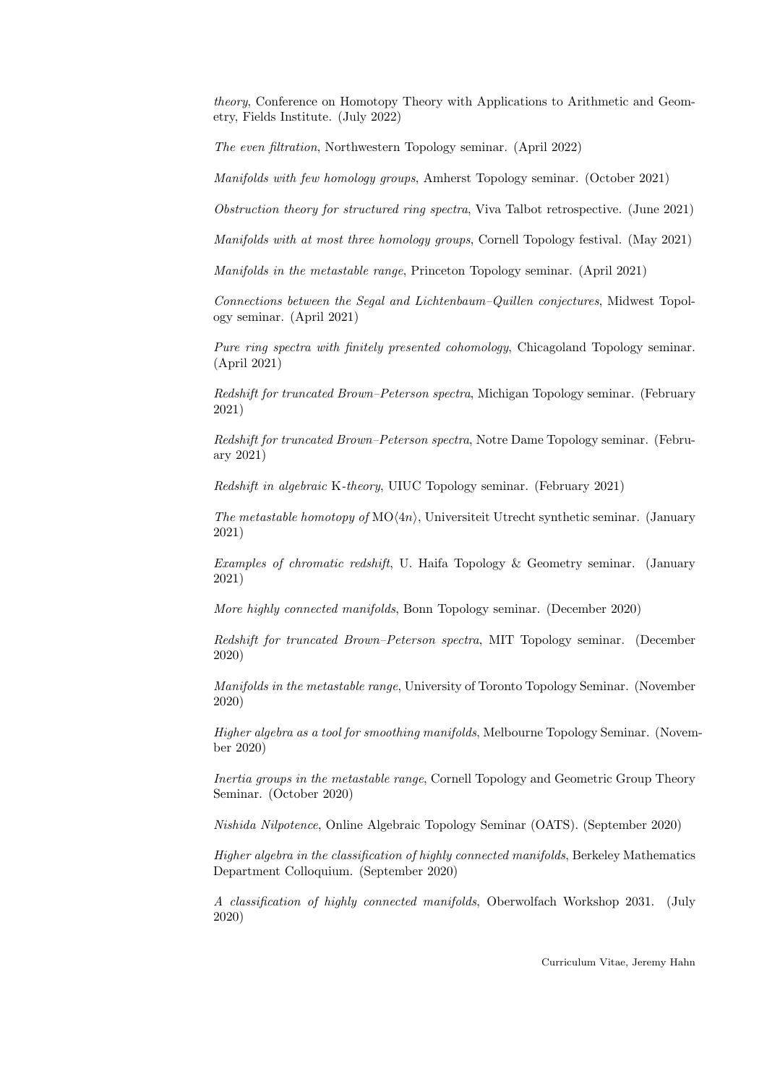theory, Conference on Homotopy Theory with Applications to Arithmetic and Geometry, Fields Institute. (July 2022)

The even filtration, Northwestern Topology seminar. (April 2022)

Manifolds with few homology groups, Amherst Topology seminar. (October 2021)

Obstruction theory for structured ring spectra, Viva Talbot retrospective. (June 2021)

Manifolds with at most three homology groups, Cornell Topology festival. (May 2021)

Manifolds in the metastable range, Princeton Topology seminar. (April 2021)

Connections between the Segal and Lichtenbaum–Quillen conjectures, Midwest Topology seminar. (April 2021)

Pure ring spectra with finitely presented cohomology, Chicagoland Topology seminar. (April 2021)

Redshift for truncated Brown–Peterson spectra, Michigan Topology seminar. (February 2021)

Redshift for truncated Brown–Peterson spectra, Notre Dame Topology seminar. (February 2021)

Redshift in algebraic K-theory, UIUC Topology seminar. (February 2021)

The metastable homotopy of  $MO(4n)$ , Universiteit Utrecht synthetic seminar. (January 2021)

Examples of chromatic redshift, U. Haifa Topology & Geometry seminar. (January 2021)

More highly connected manifolds, Bonn Topology seminar. (December 2020)

Redshift for truncated Brown–Peterson spectra, MIT Topology seminar. (December 2020)

Manifolds in the metastable range, University of Toronto Topology Seminar. (November 2020)

Higher algebra as a tool for smoothing manifolds, Melbourne Topology Seminar. (November 2020)

Inertia groups in the metastable range, Cornell Topology and Geometric Group Theory Seminar. (October 2020)

Nishida Nilpotence, Online Algebraic Topology Seminar (OATS). (September 2020)

Higher algebra in the classification of highly connected manifolds, Berkeley Mathematics Department Colloquium. (September 2020)

A classification of highly connected manifolds, Oberwolfach Workshop 2031. (July 2020)

Curriculum Vitae, Jeremy Hahn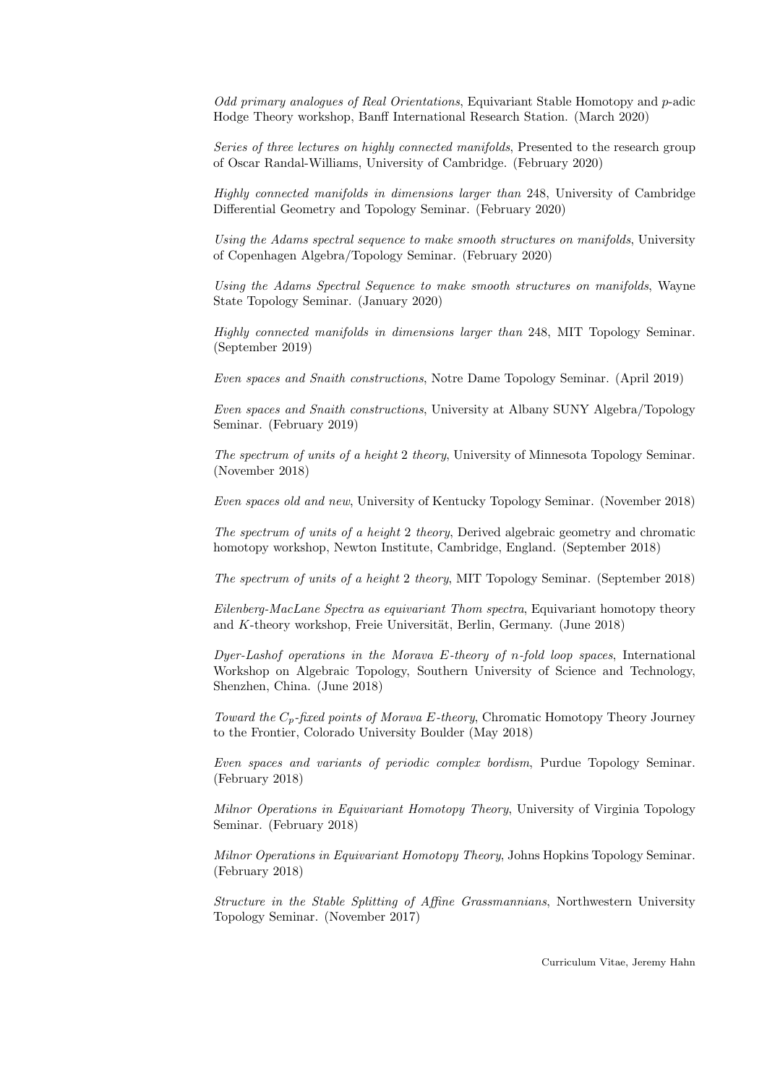Odd primary analogues of Real Orientations, Equivariant Stable Homotopy and p-adic Hodge Theory workshop, Banff International Research Station. (March 2020)

Series of three lectures on highly connected manifolds, Presented to the research group of Oscar Randal-Williams, University of Cambridge. (February 2020)

Highly connected manifolds in dimensions larger than 248, University of Cambridge Differential Geometry and Topology Seminar. (February 2020)

Using the Adams spectral sequence to make smooth structures on manifolds, University of Copenhagen Algebra/Topology Seminar. (February 2020)

Using the Adams Spectral Sequence to make smooth structures on manifolds, Wayne State Topology Seminar. (January 2020)

Highly connected manifolds in dimensions larger than 248, MIT Topology Seminar. (September 2019)

Even spaces and Snaith constructions, Notre Dame Topology Seminar. (April 2019)

Even spaces and Snaith constructions, University at Albany SUNY Algebra/Topology Seminar. (February 2019)

The spectrum of units of a height 2 theory, University of Minnesota Topology Seminar. (November 2018)

Even spaces old and new, University of Kentucky Topology Seminar. (November 2018)

The spectrum of units of a height 2 theory, Derived algebraic geometry and chromatic homotopy workshop, Newton Institute, Cambridge, England. (September 2018)

The spectrum of units of a height 2 theory, MIT Topology Seminar. (September 2018)

Eilenberg-MacLane Spectra as equivariant Thom spectra, Equivariant homotopy theory and  $K$ -theory workshop, Freie Universität, Berlin, Germany. (June 2018)

Dyer-Lashof operations in the Morava E-theory of n-fold loop spaces, International Workshop on Algebraic Topology, Southern University of Science and Technology, Shenzhen, China. (June 2018)

Toward the  $C_p$ -fixed points of Morava E-theory, Chromatic Homotopy Theory Journey to the Frontier, Colorado University Boulder (May 2018)

Even spaces and variants of periodic complex bordism, Purdue Topology Seminar. (February 2018)

Milnor Operations in Equivariant Homotopy Theory, University of Virginia Topology Seminar. (February 2018)

Milnor Operations in Equivariant Homotopy Theory, Johns Hopkins Topology Seminar. (February 2018)

Structure in the Stable Splitting of Affine Grassmannians, Northwestern University Topology Seminar. (November 2017)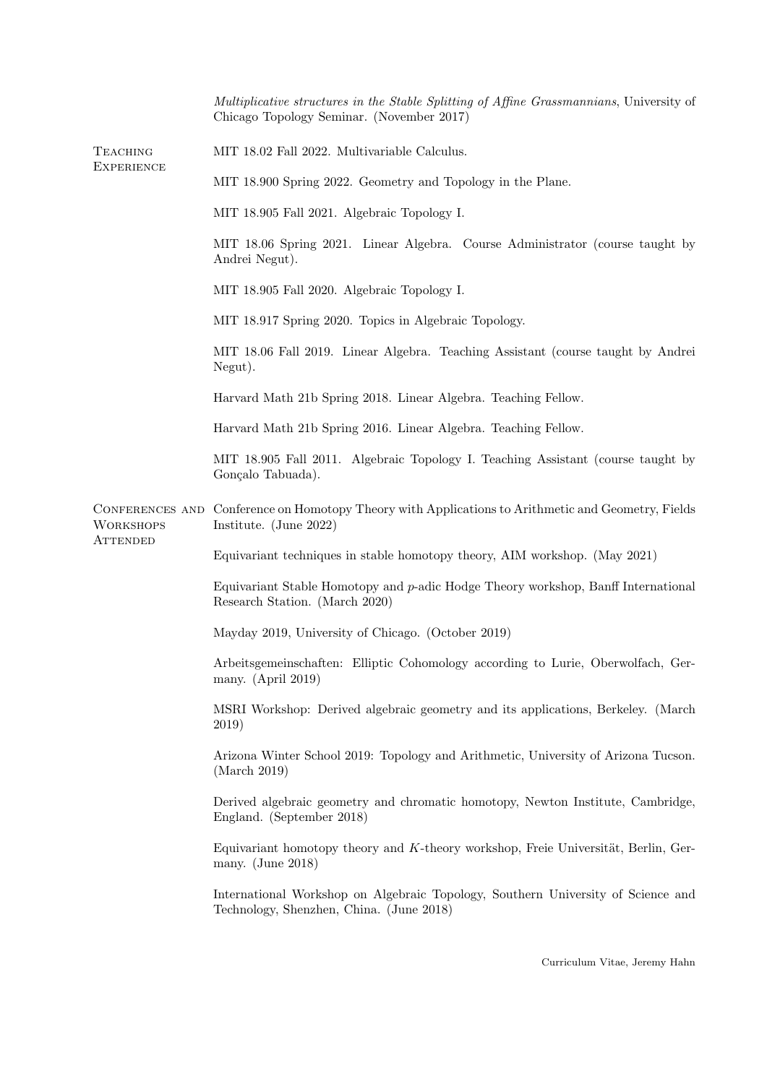|                                      | Multiplicative structures in the Stable Splitting of Affine Grassmannians, University of<br>Chicago Topology Seminar. (November 2017) |
|--------------------------------------|---------------------------------------------------------------------------------------------------------------------------------------|
| <b>TEACHING</b><br><b>EXPERIENCE</b> | MIT 18.02 Fall 2022. Multivariable Calculus.                                                                                          |
|                                      | MIT 18.900 Spring 2022. Geometry and Topology in the Plane.                                                                           |
|                                      | MIT 18.905 Fall 2021. Algebraic Topology I.                                                                                           |
|                                      | MIT 18.06 Spring 2021. Linear Algebra. Course Administrator (course taught by<br>Andrei Negut).                                       |
|                                      | MIT 18.905 Fall 2020. Algebraic Topology I.                                                                                           |
|                                      | MIT 18.917 Spring 2020. Topics in Algebraic Topology.                                                                                 |
|                                      | MIT 18.06 Fall 2019. Linear Algebra. Teaching Assistant (course taught by Andrei<br>Negut).                                           |
|                                      | Harvard Math 21b Spring 2018. Linear Algebra. Teaching Fellow.                                                                        |
|                                      | Harvard Math 21b Spring 2016. Linear Algebra. Teaching Fellow.                                                                        |
|                                      | MIT 18.905 Fall 2011. Algebraic Topology I. Teaching Assistant (course taught by<br>Gonçalo Tabuada).                                 |
| <b>WORKSHOPS</b><br><b>ATTENDED</b>  | CONFERENCES AND Conference on Homotopy Theory with Applications to Arithmetic and Geometry, Fields<br>Institute. (June 2022)          |
|                                      | Equivariant techniques in stable homotopy theory, AIM workshop. (May 2021)                                                            |
|                                      | Equivariant Stable Homotopy and p-adic Hodge Theory workshop, Banff International<br>Research Station. (March 2020)                   |
|                                      | Mayday 2019, University of Chicago. (October 2019)                                                                                    |
|                                      | Arbeitsgemeinschaften: Elliptic Cohomology according to Lurie, Oberwolfach, Ger-<br>many. $(Apri 2019)$                               |
|                                      | MSRI Workshop: Derived algebraic geometry and its applications, Berkeley. (March<br>2019)                                             |
|                                      | Arizona Winter School 2019: Topology and Arithmetic, University of Arizona Tucson.<br>(March 2019)                                    |
|                                      | Derived algebraic geometry and chromatic homotopy, Newton Institute, Cambridge,<br>England. (September 2018)                          |
|                                      | Equivariant homotopy theory and K-theory workshop, Freie Universität, Berlin, Ger-<br>many. $(June 2018)$                             |
|                                      | International Workshop on Algebraic Topology, Southern University of Science and<br>Technology, Shenzhen, China. (June 2018)          |
|                                      |                                                                                                                                       |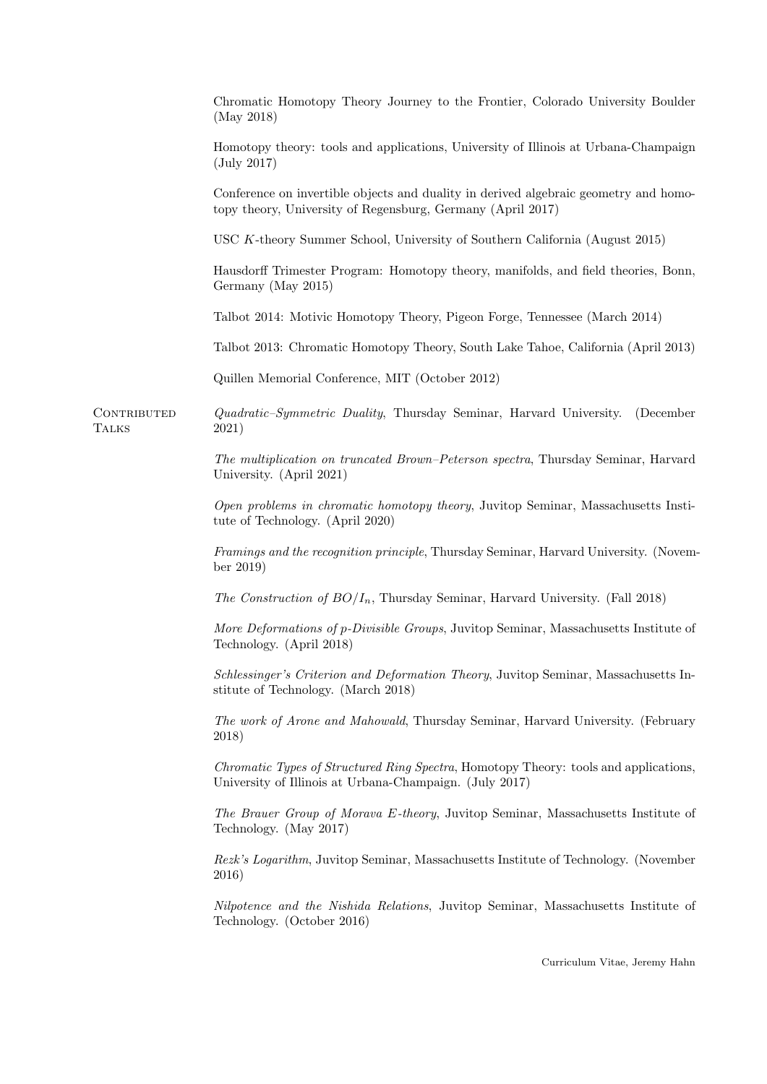|                             | Chromatic Homotopy Theory Journey to the Frontier, Colorado University Boulder<br>(May 2018)                                                        |
|-----------------------------|-----------------------------------------------------------------------------------------------------------------------------------------------------|
|                             | Homotopy theory: tools and applications, University of Illinois at Urbana-Champaign<br>$(\mathrm{July\ 2017})$                                      |
|                             | Conference on invertible objects and duality in derived algebraic geometry and homo-<br>topy theory, University of Regensburg, Germany (April 2017) |
|                             | USC K-theory Summer School, University of Southern California (August 2015)                                                                         |
|                             | Hausdorff Trimester Program: Homotopy theory, manifolds, and field theories, Bonn,<br>Germany (May 2015)                                            |
|                             | Talbot 2014: Motivic Homotopy Theory, Pigeon Forge, Tennessee (March 2014)                                                                          |
|                             | Talbot 2013: Chromatic Homotopy Theory, South Lake Tahoe, California (April 2013)                                                                   |
|                             | Quillen Memorial Conference, MIT (October 2012)                                                                                                     |
| CONTRIBUTED<br><b>TALKS</b> | <i>Quadratic-Symmetric Duality</i> , Thursday Seminar, Harvard University.<br>(December<br>2021)                                                    |
|                             | The multiplication on truncated Brown-Peterson spectra, Thursday Seminar, Harvard<br>University. (April 2021)                                       |
|                             | Open problems in chromatic homotopy theory, Juvitop Seminar, Massachusetts Insti-<br>tute of Technology. (April 2020)                               |
|                             | Framings and the recognition principle, Thursday Seminar, Harvard University. (Novem-<br>ber 2019)                                                  |
|                             | <i>The Construction of BO/I<sub>n</sub></i> , Thursday Seminar, Harvard University. (Fall 2018)                                                     |
|                             | More Deformations of p-Divisible Groups, Juvitop Seminar, Massachusetts Institute of<br>Technology. (April 2018)                                    |
|                             | Schlessinger's Criterion and Deformation Theory, Juvitop Seminar, Massachusetts In-<br>stitute of Technology. (March 2018)                          |
|                             | The work of Arone and Mahowald, Thursday Seminar, Harvard University. (February<br>2018)                                                            |
|                             | Chromatic Types of Structured Ring Spectra, Homotopy Theory: tools and applications,<br>University of Illinois at Urbana-Champaign. (July 2017)     |
|                             | The Brauer Group of Morava E-theory, Juvitop Seminar, Massachusetts Institute of<br>Technology. (May 2017)                                          |
|                             | Rezk's Logarithm, Juvitop Seminar, Massachusetts Institute of Technology. (November<br>2016)                                                        |
|                             | Nilpotence and the Nishida Relations, Juvitop Seminar, Massachusetts Institute of<br>Technology. (October 2016)                                     |
|                             | Curriculum Vitae, Jeremy Hahn                                                                                                                       |